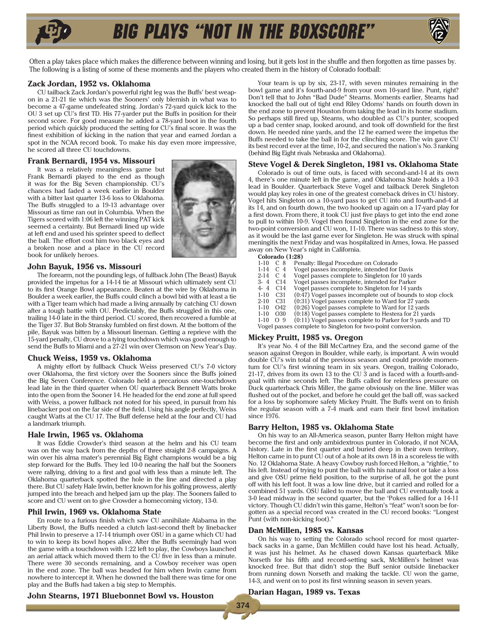# big plays "not in the Boxscore"



Often a play takes place which makes the difference between winning and losing, but it gets lost in the shuffle and then forgotten as time passes by. The following is a listing of some of these moments and the players who created them in the history of Colorado football:

# **Zack Jordan, 1952 vs. Oklahoma**

CU tailback Zack Jordan's powerful right leg was the Buffs' best weapon in a 21-21 tie which was the Sooners' only blemish in what was to become a 47-game undefeated string. Jordan's 72-yard quick kick to the OU 3 set up CU's first TD. His 77-yarder put the Buffs in position for their second score. For good measure he added a 78-yard boot in the fourth period which quickly produced the setting for CU's final score. It was the finest exhibition of kicking in the nation that year and earned Jordan a spot in the NCAA record book. To make his day even more impressive, he scored all three CU touchdowns.

#### **Frank Bernardi, 1954 vs. Missouri**

It was a relatively meaningless game but Frank Bernardi played to the end as though it was for the Big Seven championship. CU's chances had faded a week earlier in Boulder with a bitter last quarter 13-6 loss to Oklahoma. The Buffs struggled to a 19-13 advantage over Missouri as time ran out in Columbia. When the Tigers scored with 1:06 left the winning PAT kick seemed a certainty. But Bernardi lined up wide at left end and used his sprinter speed to deflect the ball. The effort cost him two black eyes and a broken nose and a place in the CU record book for unlikely heroes.



#### **John Bayuk, 1956 vs. Missouri**

The forearm, not the pounding legs, of fullback John (The Beast) Bayuk provided the impetus for a 14-14 tie at Missouri which ultimately sent CU to its first Orange Bowl appearance. Beaten at the wire by Oklahoma in Boulder a week earlier, the Buffs could clinch a bowl bid with at least a tie with a Tiger team which had made a living annually by catching CU down after a tough battle with OU. Predictably, the Buffs struggled in this one, trailing 14-0 late in the third period. CU scored, then recovered a fumble at the Tiger 37. But Bob Stransky fumbled on first down. At the bottom of the pile, Bayuk was bitten by a Missouri lineman. Getting a reprieve with the 15-yard penalty, CU drove to a tying touchdown which was good enough to send the Buffs to Miami and a 27-21 win over Clemson on New Year's Day.

#### **Chuck Weiss, 1959 vs. Oklahoma**

A mighty effort by fullback Chuck Weiss preserved CU's 7-0 victory over Oklahoma, the first victory over the Sooners since the Buffs joined the Big Seven Conference. Colorado held a precarious one-touchdown lead late in the third quarter when OU quarterback Bennett Watts broke into the open from the Sooner 14. He headed for the end zone at full speed with Weiss, a power fullback not noted for his speed, in pursuit from his linebacker post on the far side of the field. Using his angle perfectly, Weiss caught Watts at the CU 17. The Buff defense held at the four and CU had a landmark triumph.

#### **Hale Irwin, 1965 vs. Oklahoma**

It was Eddie Crowder's third season at the helm and his CU team was on the way back from the depths of three straight 2-8 campaigns. A win over his alma mater's perennial Big Eight champions would be a big step forward for the Buffs. They led 10-0 nearing the half but the Sooners were rallying, driving to a first and goal with less than a minute left. The Oklahoma quarterback spotted the hole in the line and directed a play there. But CU safety Hale Irwin, better known for his golfing prowess, alertly jumped into the breach and helped jam up the play. The Sooners failed to score and CU went on to give Crowder a homecoming victory, 13-0.

# **Phil Irwin, 1969 vs. Oklahoma State**

En route to a furious finish which saw CU annihilate Alabama in the Liberty Bowl, the Buffs needed a clutch last-second theft by linebacker Phil Irwin to preserve a 17-14 triumph over OSU in a game which CU had to win to keep its bowl hopes alive. After the Buffs seemingly had won the game with a touchdown with 1:22 left to play, the Cowboys launched an aerial attack which moved them to the CU five in less than a minute. There were 30 seconds remaining, and a Cowboy receiver was open in the end zone. The ball was headed for him when Irwin came from nowhere to intercept it. When he downed the ball there was time for one play and the Buffs had taken a big step to Memphis.

Your team is up by six, 23-17, with seven minutes remaining in the bowl game and it's fourth-and-9 from your own 10-yard line. Punt, right? Don't tell that to John "Bad Dude" Stearns. Moments earlier, Stearns had knocked the ball out of tight end Riley Odoms' hands on fourth down in the end zone to prevent Houston from taking the lead in its home stadium. So perhaps still fired up, Stearns, who doubled as CU's punter, scooped up a bad center snap, looked around, and took off downfield for the first down. He needed nine yards, and the 12 he earned were the impetus the Buffs needed to take the ball in for the clinching score. The win gave CU its best record ever at the time, 10-2, and secured the nation's No. 3 ranking (behind Big Eight rivals Nebraska and Oklahoma).

#### **Steve Vogel & Derek Singleton, 1981 vs. Oklahoma State**

Colorado is out of time outs, is faced with second-and-14 at its own 4, there's one minute left in the game, and Oklahoma State holds a 10-3 lead in Boulder. Quarterback Steve Vogel and tailback Derek Singleton would play key roles in one of the greatest comeback drives in CU history. Vogel hits Singleton on a 10-yard pass to get CU into and fourth-and-4 at its 14, and on fourth down, the two hooked up again on a 17-yard play for a first down. From there, it took CU just five plays to get into the end zone to pull to within 10-9. Vogel then found Singleton in the end zone for the two-point conversion and CU won, 11-10. There was sadness to this story, as it would be the last game ever for Singleton. He was struck with spinal meningitis the next Friday and was hospitalized in Ames, Iowa. He passed away on New Year's night in California.

**Colorado (1:28)**<br>1-10 C 8 Pen

- 
- 1-10 C 8 Penalty: Illegal Procedure on Colorado<br>1-14 C 4 Vogel passes incomplete, intended for<br>2-14 C 4 Vogel passes complete to Singleton for Vogel passes incomplete, intended for Davis
- 2-14 C 4 Vogel passes complete to Singleton for 10 yards<br>3-4 C14 Vogel passes incomplete, intended for Parker
- 3- 4 C14 Vogel passes incomplete, intended for Parker
- 4- 4  $\cdot$  C14 Vogel passes complete to Singleton for 14 yards<br>1-10  $\cdot$  C31  $\cdot$  (0.47) Vogel passes incomplete out of bounds to
- 1-10 C31 (0:47) Vogel passes incomplete out of bounds to stop clock
- 2-10 C31 (0:31) Vogel passes complete to Ward for 27 yards<br>1-10 O42 (0:26) Vogel passes complete to Ward for 12 yards
- 1-10 O42 (0:26) Vogel passes complete to Ward for 12 yards
- 1-10 O30 (0:18) Vogel passes complete to Hestera for 21 yards<br>1-10 O 9 (0:11) Vogel passes complete to Parker for 9 yards and
	- (0:11) Vogel passes complete to Parker for 9 yards and TD
	- Vogel passes complete to Singleton for two-point conversion.

#### **Mickey Pruitt, 1985 vs. Oregon**

It's year No. 4 of the Bill McCartney Era, and the second game of the season against Oregon in Boulder, while early, is important. A win would double CU's win total of the previous season and could provide momentum for CU's first winning team in six years. Oregon, trailing Colorado, 21-17, drives from its own 13 to the CU 3 and is faced with a fourth-andgoal with nine seconds left. The Buffs called for relentless pressure on Duck quarterback Chris Miller, the game obviously on the line. Miller was flushed out of the pocket, and before he could get the ball off, was sacked for a loss by sophomore safety Mickey Pruitt. The Buffs went on to finish the regular season with a 7-4 mark and earn their first bowl invitation since 1976.

#### **Barry Helton, 1985 vs. Oklahoma State**

On his way to an All-America season, punter Barry Helton might have become the first and only ambidextrous punter in Colorado, if not NCAA, history. Late in the first quarter and buried deep in their own territory, Helton came in to punt CU out of a hole at its own 18 in a scoreless tie with No. 12 Oklahoma State. A heavy Cowboy rush forced Helton, a "rightie," to his left. Instead of trying to punt the ball with his natural foot or take a loss and give OSU prime field position, to the surprise of all, he got the punt off with his left foot. It was a low line drive, but it carried and rolled for a combined 51 yards. OSU failed to move the ball and CU eventually took a 3-0 lead midway in the second quarter, but the 'Pokes rallied for a 14-11 victory. Though CU didn't win this game, Helton's "feat" won't soon be forgotten as a special record was created in the CU record books: "Longest Punt (with non-kicking foot).'

#### **Dan McMillen, 1985 vs. Kansas**

On his way to setting the Colorado school record for most quarterback sacks in a game, Dan McMillen could have lost his head. Actually, it was just his helmet. As he chased down Kansas quarterback Mike Norseth for his fifth and record-setting sack, McMillen's helmet was knocked free. But that didn't stop the Buff senior outside linebacker from running down Norseth and making the tackle. CU won the game, 14-3, and went on to post its first winning season in seven years.

#### **John Stearns, 1971 Bluebonnet Bowl vs. Houston**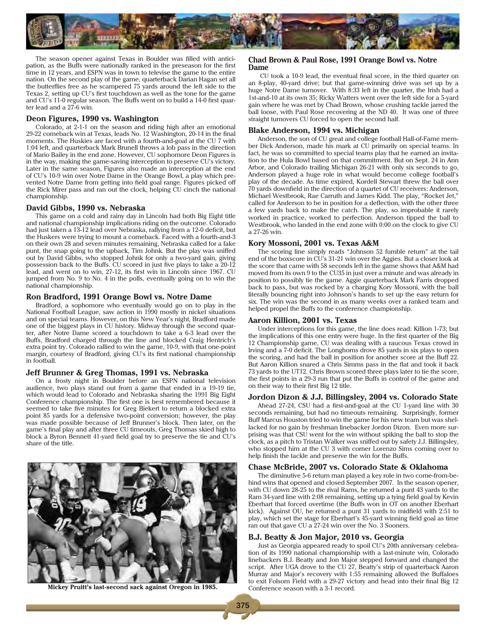

The season opener against Texas in Boulder was filled with anticipation, as the Buffs were nationally ranked in the preseason for the first time in 12 years, and ESPN was in town to televise the game to the entire nation. On the second play of the game, quarterback Darian Hagan set all the butterflies free as he scampered 75 yards around the left side to the Texas 2, setting up CU's first touchdown as well as the tone for the game and CU's 11-0 regular season. The Buffs went on to build a 14-0 first quarter lead and a 27-6 win.

#### **Deon Figures, 1990 vs. Washington**

Colorado, at 2-1-1 on the season and riding high after an emotional 29-22 comeback win at Texas, leads No. 12 Washington, 20-14 in the final moments. The Huskies are faced with a fourth-and-goal at the CU 7 with 1:04 left, and quarterback Mark Brunell throws a lob pass in the direction of Mario Bailey in the end zone. However, CU sophomore Deon Figures is in the way, making the game-saving interception to preserve CU's victory. Later in the same season, Figures also made an interception at the end of CU's 10-9 win over Notre Dame in the Orange Bowl, a play which prevented Notre Dame from getting into field goal range. Figures picked off the Rick Mirer pass and ran out the clock, helping CU cinch the national championship.

#### **David Gibbs, 1990 vs. Nebraska**

This game on a cold and rainy day in Lincoln had both Big Eight title and national championship implications riding on the outcome. Colorado had just taken a 13-12 lead over Nebraska, rallying from a 12-0 deficit, but the Huskers were trying to mount a comeback. Faced with a fourth-and-3 on their own 28 and seven minutes remaining, Nebraska called for a fake punt, the snap going to the upback, Tim Johnk. But the play was sniffed out by David Gibbs, who stopped Johnk for only a two-yard gain, giving possession back to the Buffs. CU scored in just five plays to take a 20-12 lead, and went on to win, 27-12, its first win in Lincoln since 1967. CU jumped from No. 9 to No. 4 in the polls, eventually going on to win the national championship.

#### **Ron Bradford, 1991 Orange Bowl vs. Notre Dame**

Bradford, a sophomore who eventually would go on to play in the National Football League, saw action in 1990 mostly in nickel situations and on special teams. However, on this New Year's night, Bradford made one of the biggest plays in CU history. Midway through the second quarter, after Notre Dame scored a touchdown to take a 6-3 lead over the Buffs, Bradford charged through the line and blocked Craig Hentrich's extra point try. Colorado rallied to win the game, 10-9, with that one-point margin, courtesy of Bradford, giving CU's its first national championship in football.

#### **Jeff Brunner & Greg Thomas, 1991 vs. Nebraska**

On a frosty night in Boulder before an ESPN national television audience, two plays stand out from a game that ended in a 19-19 tie, which would lead to Colorado and Nebraska sharing the 1991 Big Eight Conference championship. The first one is best remembered because it seemed to take five minutes for Greg Biekert to return a blocked extra point 85 yards for a defensive two-point conversion; however, the play was made possible because of Jeff Brunner's block. Then later, on the game's final play and after three CU timeouts, Greg Thomas skied high to block a Byron Bennett 41-yard field goal try to preserve the tie and CU's share of the title.



**Mickey Pruitt's last-second sack against Oregon in 1985.**

#### **Chad Brown & Paul Rose, 1991 Orange Bowl vs. Notre Dame**

 CU took a 10-9 lead, the eventual final score, in the third quarter on an 8-play, 40-yard drive; but that game-winning drive was set up by a huge Notre Dame turnover. With 8:33 left in the quarter, the Irish had a 1st-and-10 at its own 35; Ricky Watters went over the left side for a 5-yard gain where he was met by Chad Brown, whose crushing tackle jarred the ball loose, with Paul Rose recovering at the ND 40. It was one of three straight turnovers CU forced to open the second half.

#### **Blake Anderson, 1994 vs. Michigan**

Anderson, the son of CU great and college football Hall-of-Fame member Dick Anderson, made his mark at CU primarily on special teams. In fact, he was so committed to special teams play that he earned an invitation to the Hula Bowl based on that commitment. But on Sept. 24 in Ann Arbor, and Colorado trailing Michigan 26-21 with only six seconds to go, Anderson played a huge role in what would become college football's play of the decade. As time expired, Kordell Stewart threw the ball over 70 yards downfield in the direction of a quartet of CU receivers: Anderson, Michael Westbrook, Rae Carruth and James Kidd. The play, "Rocket Jet," called for Anderson to be in position for a deflection, with the other three a few yards back to make the catch. The play, so improbable it rarely worked in practice, worked to perfection. Anderson tipped the ball to Westbrook, who landed in the end zone with 0:00 on the clock to give CU a 27-26 win.

#### **Kory Mossoni, 2001 vs. Texas A&M**

The scoring line simply reads "Johnson 52 fumble return" at the tail end of the boxscore in CU's 31-21 win over the Aggies. But a closer look at the score that came with 58 seconds left in the game shows that A&M had moved from its own 9 to the CU35 in just over a minute and was already in position to possibly tie the game. Aggie quarterback Mark Farris dropped back to pass, but was rocked by a charging Kory Mossoni, with the ball literally bouncing right into Johnson's hands to set up the easy return for six. The win was the second in as many weeks over a ranked team and helped propel the Buffs to the conference championship.

#### **Aaron Killion, 2001 vs. Texas**

Under interceptions for this game, the line does read: Killion 1-73; but the implications of this one entry were huge. In the first quarter of the Big 12 Championship game, CU was dealing with a raucous Texas crowd in Irving and a 7-0 deficit. The Longhorns drove 85 yards in six plays to open the scoring, and had the ball in position for another score at the Buff 22. But Aaron Killion snared a Chris Simms pass in the flat and took it back 73 yards to the UT12. Chris Brown scored three plays later to tie the score, the first points in a 29-3 run that put the Buffs in control of the game and on their way to their first Big 12 title.

#### **Jordon Dizon & J.J. Billingsley, 2004 vs. Colorado State**

Ahead 27-24, CSU had a first-and-goal at the CU 1-yard line with 30 seconds remaining, but had no timeouts remaining. Surprisingly, former Buff Marcus Houston tried to win the game for his new team but was shellacked for no gain by freshman linebacker Jordon Dizon. Even more surprising was that CSU went for the win without spiking the ball to stop the clock, as a pitch to Tristan Walker was sniffed out by safety J.J. Billingsley, who stopped him at the CU 3 with corner Lorenzo Sims coming over to help finish the tackle and preserve the win for the Buffs.

#### **Chase McBride, 2007 vs. Colorado State & Oklahoma**

The diminutive 5-6 return man played a key role in two come-from-behind wins that opened and closed September 2007. In the season opener, with CU down 28-25 to the rival Rams, he returned a punt 43 yards to the Ram 34-yard line with 2:08 remaining, setting up a tying field goal by Kevin Eberhart that forced overtime (the Buffs won in OT on another Eberhart kick). Against OU, he returned a punt 31 yards to midfield with 2:51 to play, which set the stage for Eberhart's 45-yard winning field goal as time ran out that gave CU a 27-24 win over the No. 3 Sooners.

### **B.J. Beatty & Jon Major, 2010 vs. Georgia**

Just as Georgia appeared ready to spoil CU's 20th anniversary celebration of its 1990 national championship with a last-minute win, Colorado linebackers B.J. Beatty and Jon Major stepped forward and changed the script. After UGA drove to the CU 27, Beatty's strip of quarterback Aaron Murray and Major's recovery with 1:55 remaining allowed the Buffaloes to exit Folsom Field with a 29-27 victory and head into their final Big 12 Conference season with a 3-1 record.